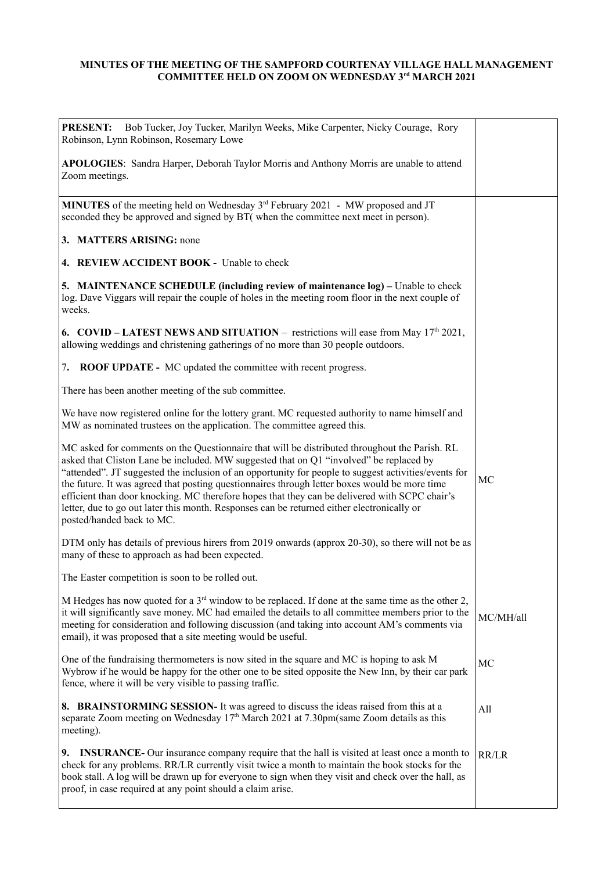## **MINUTES OF THE MEETING OF THE SAMPFORD COURTENAY VILLAGE HALL MANAGEMENT COMMITTEE HELD ON ZOOM ON WEDNESDAY 3rd MARCH 2021**

| Bob Tucker, Joy Tucker, Marilyn Weeks, Mike Carpenter, Nicky Courage, Rory<br><b>PRESENT:</b><br>Robinson, Lynn Robinson, Rosemary Lowe                                                                                                                                                                                                                                                                                                                                                                                                                                                                                      |           |
|------------------------------------------------------------------------------------------------------------------------------------------------------------------------------------------------------------------------------------------------------------------------------------------------------------------------------------------------------------------------------------------------------------------------------------------------------------------------------------------------------------------------------------------------------------------------------------------------------------------------------|-----------|
| APOLOGIES: Sandra Harper, Deborah Taylor Morris and Anthony Morris are unable to attend<br>Zoom meetings.                                                                                                                                                                                                                                                                                                                                                                                                                                                                                                                    |           |
| MINUTES of the meeting held on Wednesday 3 <sup>rd</sup> February 2021 - MW proposed and JT<br>seconded they be approved and signed by BT( when the committee next meet in person).                                                                                                                                                                                                                                                                                                                                                                                                                                          |           |
| 3. MATTERS ARISING: none                                                                                                                                                                                                                                                                                                                                                                                                                                                                                                                                                                                                     |           |
| 4. REVIEW ACCIDENT BOOK - Unable to check                                                                                                                                                                                                                                                                                                                                                                                                                                                                                                                                                                                    |           |
| 5. MAINTENANCE SCHEDULE (including review of maintenance log) – Unable to check<br>log. Dave Viggars will repair the couple of holes in the meeting room floor in the next couple of<br>weeks.                                                                                                                                                                                                                                                                                                                                                                                                                               |           |
| 6. COVID – LATEST NEWS AND SITUATION – restrictions will ease from May $17th 2021$ ,<br>allowing weddings and christening gatherings of no more than 30 people outdoors.                                                                                                                                                                                                                                                                                                                                                                                                                                                     |           |
| 7.<br><b>ROOF UPDATE -</b> MC updated the committee with recent progress.                                                                                                                                                                                                                                                                                                                                                                                                                                                                                                                                                    |           |
| There has been another meeting of the sub committee.                                                                                                                                                                                                                                                                                                                                                                                                                                                                                                                                                                         |           |
| We have now registered online for the lottery grant. MC requested authority to name himself and<br>MW as nominated trustees on the application. The committee agreed this.                                                                                                                                                                                                                                                                                                                                                                                                                                                   |           |
| MC asked for comments on the Questionnaire that will be distributed throughout the Parish. RL<br>asked that Cliston Lane be included. MW suggested that on Q1 "involved" be replaced by<br>"attended". JT suggested the inclusion of an opportunity for people to suggest activities/events for<br>the future. It was agreed that posting questionnaires through letter boxes would be more time<br>efficient than door knocking. MC therefore hopes that they can be delivered with SCPC chair's<br>letter, due to go out later this month. Responses can be returned either electronically or<br>posted/handed back to MC. | MC        |
| DTM only has details of previous hirers from 2019 onwards (approx 20-30), so there will not be as<br>many of these to approach as had been expected.                                                                                                                                                                                                                                                                                                                                                                                                                                                                         |           |
| The Easter competition is soon to be rolled out.                                                                                                                                                                                                                                                                                                                                                                                                                                                                                                                                                                             |           |
| M Hedges has now quoted for a 3 <sup>rd</sup> window to be replaced. If done at the same time as the other 2,<br>it will significantly save money. MC had emailed the details to all committee members prior to the<br>meeting for consideration and following discussion (and taking into account AM's comments via<br>email), it was proposed that a site meeting would be useful.                                                                                                                                                                                                                                         | MC/MH/all |
| One of the fundraising thermometers is now sited in the square and MC is hoping to ask M<br>Wybrow if he would be happy for the other one to be sited opposite the New Inn, by their car park<br>fence, where it will be very visible to passing traffic.                                                                                                                                                                                                                                                                                                                                                                    | MC        |
| 8. BRAINSTORMING SESSION- It was agreed to discuss the ideas raised from this at a<br>separate Zoom meeting on Wednesday $17th$ March 2021 at 7.30pm(same Zoom details as this<br>meeting).                                                                                                                                                                                                                                                                                                                                                                                                                                  | All       |
| 9. INSURANCE- Our insurance company require that the hall is visited at least once a month to<br>check for any problems. RR/LR currently visit twice a month to maintain the book stocks for the<br>book stall. A log will be drawn up for everyone to sign when they visit and check over the hall, as<br>proof, in case required at any point should a claim arise.                                                                                                                                                                                                                                                        | RR/LR     |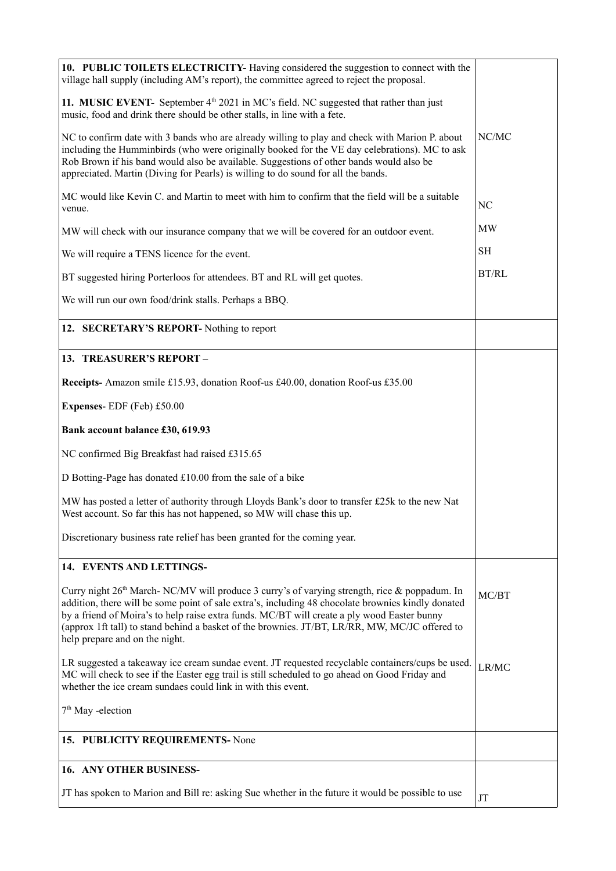| 10. PUBLIC TOILETS ELECTRICITY- Having considered the suggestion to connect with the<br>village hall supply (including AM's report), the committee agreed to reject the proposal.                                                                                                                                                                                                                                                                  |              |
|----------------------------------------------------------------------------------------------------------------------------------------------------------------------------------------------------------------------------------------------------------------------------------------------------------------------------------------------------------------------------------------------------------------------------------------------------|--------------|
| 11. MUSIC EVENT- September $4th 2021$ in MC's field. NC suggested that rather than just<br>music, food and drink there should be other stalls, in line with a fete.                                                                                                                                                                                                                                                                                |              |
| NC to confirm date with 3 bands who are already willing to play and check with Marion P. about<br>including the Humminbirds (who were originally booked for the VE day celebrations). MC to ask<br>Rob Brown if his band would also be available. Suggestions of other bands would also be<br>appreciated. Martin (Diving for Pearls) is willing to do sound for all the bands.                                                                    | NC/MC        |
| MC would like Kevin C. and Martin to meet with him to confirm that the field will be a suitable<br>venue.                                                                                                                                                                                                                                                                                                                                          | NC           |
| MW will check with our insurance company that we will be covered for an outdoor event.                                                                                                                                                                                                                                                                                                                                                             | MW           |
| We will require a TENS licence for the event.                                                                                                                                                                                                                                                                                                                                                                                                      | SН           |
| BT suggested hiring Porterloos for attendees. BT and RL will get quotes.                                                                                                                                                                                                                                                                                                                                                                           | <b>BT/RL</b> |
| We will run our own food/drink stalls. Perhaps a BBQ.                                                                                                                                                                                                                                                                                                                                                                                              |              |
| 12. SECRETARY'S REPORT- Nothing to report                                                                                                                                                                                                                                                                                                                                                                                                          |              |
| 13. TREASURER'S REPORT-                                                                                                                                                                                                                                                                                                                                                                                                                            |              |
| Receipts- Amazon smile £15.93, donation Roof-us £40.00, donation Roof-us £35.00                                                                                                                                                                                                                                                                                                                                                                    |              |
| Expenses-EDF (Feb) £50.00                                                                                                                                                                                                                                                                                                                                                                                                                          |              |
| Bank account balance £30, 619.93                                                                                                                                                                                                                                                                                                                                                                                                                   |              |
| NC confirmed Big Breakfast had raised £315.65                                                                                                                                                                                                                                                                                                                                                                                                      |              |
| D Botting-Page has donated £10.00 from the sale of a bike                                                                                                                                                                                                                                                                                                                                                                                          |              |
| MW has posted a letter of authority through Lloyds Bank's door to transfer £25k to the new Nat<br>West account. So far this has not happened, so MW will chase this up.                                                                                                                                                                                                                                                                            |              |
| Discretionary business rate relief has been granted for the coming year.                                                                                                                                                                                                                                                                                                                                                                           |              |
| 14. EVENTS AND LETTINGS-                                                                                                                                                                                                                                                                                                                                                                                                                           |              |
| Curry night 26 <sup>th</sup> March- NC/MV will produce 3 curry's of varying strength, rice & poppadum. In<br>addition, there will be some point of sale extra's, including 48 chocolate brownies kindly donated<br>by a friend of Moira's to help raise extra funds. MC/BT will create a ply wood Easter bunny<br>(approx 1ft tall) to stand behind a basket of the brownies. JT/BT, LR/RR, MW, MC/JC offered to<br>help prepare and on the night. | MC/BT        |
| LR suggested a takeaway ice cream sundae event. JT requested recyclable containers/cups be used.<br>MC will check to see if the Easter egg trail is still scheduled to go ahead on Good Friday and<br>whether the ice cream sundaes could link in with this event.                                                                                                                                                                                 | LR/MC        |
| $7th$ May -election                                                                                                                                                                                                                                                                                                                                                                                                                                |              |
| 15. PUBLICITY REQUIREMENTS- None                                                                                                                                                                                                                                                                                                                                                                                                                   |              |
| 16. ANY OTHER BUSINESS-                                                                                                                                                                                                                                                                                                                                                                                                                            |              |
| JT has spoken to Marion and Bill re: asking Sue whether in the future it would be possible to use                                                                                                                                                                                                                                                                                                                                                  | JT           |